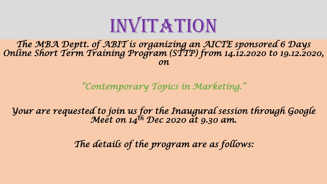

*The MBA Deptt. of ABIT is organizing an AICTE sponsored 6 Days Online Short Term Training Program (STTP) from 14.12.2020 to 19.12.2020, on* 

*"Contemporary Topics in Marketing."*

*Your are requested to join us for the Inaugural session through Google Meet on 14th Dec 2020 at 9.30 am.*

*The details of the program are as follows:*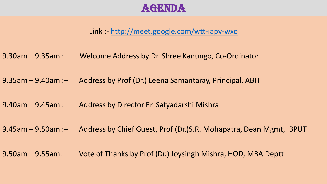## **AGENDA**

Link :- <http://meet.google.com/wtt-iapv-wxo>

- 9.30am 9.35am :– Welcome Address by Dr. Shree Kanungo, Co-Ordinator
- 9.35am 9.40am :– Address by Prof (Dr.) Leena Samantaray, Principal, ABIT
- 9.40am 9.45am :– Address by Director Er. Satyadarshi Mishra
- 9.45am 9.50am :– Address by Chief Guest, Prof (Dr.)S.R. Mohapatra, Dean Mgmt, BPUT
- 9.50am 9.55am:– Vote of Thanks by Prof (Dr.) Joysingh Mishra, HOD, MBA Deptt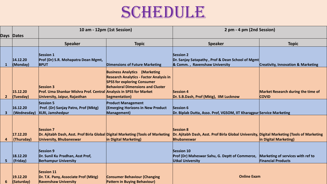## SCHEDULE

|                | Days Dates              | 10 am - 12pm (1st Session)                                                                                                            |                                                                                                                                                                                           | 2 pm - 4 pm (2nd Session)                                                                                                      |                                                                |
|----------------|-------------------------|---------------------------------------------------------------------------------------------------------------------------------------|-------------------------------------------------------------------------------------------------------------------------------------------------------------------------------------------|--------------------------------------------------------------------------------------------------------------------------------|----------------------------------------------------------------|
|                |                         | <b>Speaker</b>                                                                                                                        | <b>Topic</b>                                                                                                                                                                              | <b>Speaker</b>                                                                                                                 | <b>Topic</b>                                                   |
| 1              | 14.12.20<br>(Monday)    | <b>Session 1</b><br>Prof (Dr) S.R. Mohapatra Dean Mgmt,<br><b>BPUT</b>                                                                | <b>Dimensions of Future Marketing</b>                                                                                                                                                     | Session 2<br>Dr. Sanjay Satapathy, Prof & Dean School of Mgmt<br>& Comm., Ravenshaw University                                 | <b>Creativity, Innovation &amp; Marketing</b>                  |
| 2 <sup>2</sup> | 15.12.20<br>(Tuesday)   | <b>Session 3</b><br><b>Prof. Uma Shankar Mishra Prof. Central Analysis in SPSS for Market</b><br>University, Jaipur, Rajasthan        | <b>Business Analytics (Marketing</b><br><b>Research Analytics - Factor Analysis in</b><br><b>SPSS for exploring Consumer</b><br><b>Behavioral Dimensions and Cluster</b><br>Segmentation) | <b>Session 4</b><br>Dr. S.B.Dash, Prof (Mktg), IIM Lucknow                                                                     | <b>Market Research during the time of</b><br><b>COVID</b>      |
| $\mathbf{3}$   | 16.12.20<br>(Wednesday) | <b>Session 5</b><br>Prof. (Dr) Sanjay Patro, Prof (Mktg)<br><b>XLRI, Jamshedpur</b>                                                   | <b>Product Management</b><br><b>Emerging Horizons in New Product</b><br>Management)                                                                                                       | Session 6<br>Dr. Biplab Dutta, Asso. Prof, VGSOM, IIT Kharagpur Service Marketing                                              |                                                                |
| 4              | 17.12.20<br>(Thursday)  | <b>Session 7</b><br>Dr. Ajitabh Dash, Asst. Prof Birla Global Digital Marketing (Tools of Marketing<br><b>University, Bhubaneswar</b> | in Digital Marketing)                                                                                                                                                                     | <b>Session 8</b><br>Dr. Ajitabh Dash, Asst. Prof Birla Global University, Digital Marketing (Tools of Marketing<br>Bhubaneswar | in Digital Marketing)                                          |
| 5              | 18.12.20<br>(Friday)    | <b>Session 9</b><br>Dr. Sunil Ku Pradhan, Asst Prof,<br><b>Berhampur University</b>                                                   |                                                                                                                                                                                           | Session 10<br>Prof (Dr) Maheswar Sahu, G. Deptt of Commerce,<br><b>Utkal University</b>                                        | Marketing of services with ref to<br><b>Financial Products</b> |
| 6              | 19.12.20<br>(Saturday)  | <b>Session 11</b><br>Dr. T.K. Pany, Associate Prof (Mktg)<br><b>Ravenshaw University</b>                                              | <b>Consumer Behaviour (Changing</b><br><b>Pattern in Buying Behaviour)</b>                                                                                                                | <b>Online Exam</b>                                                                                                             |                                                                |